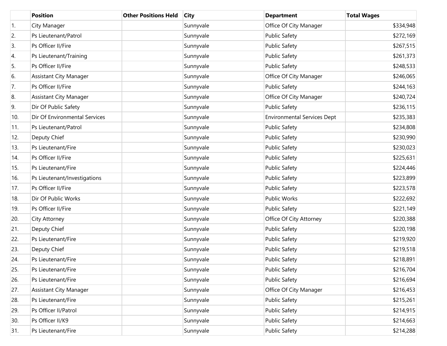|     | <b>Position</b>               | <b>Other Positions Held</b> | <b>City</b> | <b>Department</b>                  | <b>Total Wages</b> |
|-----|-------------------------------|-----------------------------|-------------|------------------------------------|--------------------|
| 1.  | City Manager                  |                             | Sunnyvale   | Office Of City Manager             | \$334,948          |
| 2.  | Ps Lieutenant/Patrol          |                             | Sunnyvale   | <b>Public Safety</b>               | \$272,169          |
| 3.  | Ps Officer II/Fire            |                             | Sunnyvale   | <b>Public Safety</b>               | \$267,515          |
| 4.  | Ps Lieutenant/Training        |                             | Sunnyvale   | <b>Public Safety</b>               | \$261,373          |
| 5.  | Ps Officer II/Fire            |                             | Sunnyvale   | <b>Public Safety</b>               | \$248,533          |
| 6.  | <b>Assistant City Manager</b> |                             | Sunnyvale   | Office Of City Manager             | \$246,065          |
| 7.  | Ps Officer II/Fire            |                             | Sunnyvale   | <b>Public Safety</b>               | \$244,163          |
| 8.  | <b>Assistant City Manager</b> |                             | Sunnyvale   | Office Of City Manager             | \$240,724          |
| 9.  | Dir Of Public Safety          |                             | Sunnyvale   | <b>Public Safety</b>               | \$236,115          |
| 10. | Dir Of Environmental Services |                             | Sunnyvale   | <b>Environmental Services Dept</b> | \$235,383          |
| 11. | Ps Lieutenant/Patrol          |                             | Sunnyvale   | <b>Public Safety</b>               | \$234,808          |
| 12. | Deputy Chief                  |                             | Sunnyvale   | <b>Public Safety</b>               | \$230,990          |
| 13. | Ps Lieutenant/Fire            |                             | Sunnyvale   | <b>Public Safety</b>               | \$230,023          |
| 14. | Ps Officer II/Fire            |                             | Sunnyvale   | <b>Public Safety</b>               | \$225,631          |
| 15. | Ps Lieutenant/Fire            |                             | Sunnyvale   | <b>Public Safety</b>               | \$224,446          |
| 16. | Ps Lieutenant/Investigations  |                             | Sunnyvale   | <b>Public Safety</b>               | \$223,899          |
| 17. | Ps Officer II/Fire            |                             | Sunnyvale   | <b>Public Safety</b>               | \$223,578          |
| 18. | Dir Of Public Works           |                             | Sunnyvale   | <b>Public Works</b>                | \$222,692          |
| 19. | Ps Officer II/Fire            |                             | Sunnyvale   | <b>Public Safety</b>               | \$221,149          |
| 20. | City Attorney                 |                             | Sunnyvale   | Office Of City Attorney            | \$220,388          |
| 21. | Deputy Chief                  |                             | Sunnyvale   | <b>Public Safety</b>               | \$220,198          |
| 22. | Ps Lieutenant/Fire            |                             | Sunnyvale   | <b>Public Safety</b>               | \$219,920          |
| 23. | Deputy Chief                  |                             | Sunnyvale   | <b>Public Safety</b>               | \$219,518          |
| 24. | Ps Lieutenant/Fire            |                             | Sunnyvale   | <b>Public Safety</b>               | \$218,891          |
| 25. | Ps Lieutenant/Fire            |                             | Sunnyvale   | <b>Public Safety</b>               | \$216,704          |
| 26. | Ps Lieutenant/Fire            |                             | Sunnyvale   | <b>Public Safety</b>               | \$216,694          |
| 27. | <b>Assistant City Manager</b> |                             | Sunnyvale   | Office Of City Manager             | \$216,453          |
| 28. | Ps Lieutenant/Fire            |                             | Sunnyvale   | <b>Public Safety</b>               | \$215,261          |
| 29. | Ps Officer II/Patrol          |                             | Sunnyvale   | <b>Public Safety</b>               | \$214,915          |
| 30. | Ps Officer II/K9              |                             | Sunnyvale   | <b>Public Safety</b>               | \$214,663          |
| 31. | Ps Lieutenant/Fire            |                             | Sunnyvale   | <b>Public Safety</b>               | \$214,288          |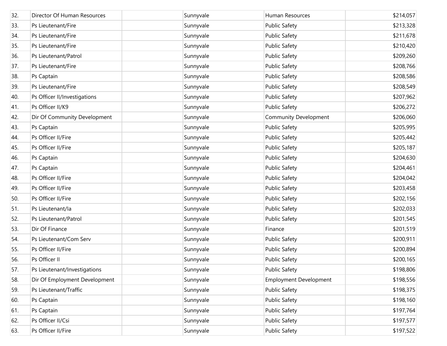| 32. | Director Of Human Resources   | Sunnyvale | Human Resources               | \$214,057 |
|-----|-------------------------------|-----------|-------------------------------|-----------|
| 33. | Ps Lieutenant/Fire            | Sunnyvale | <b>Public Safety</b>          | \$213,328 |
| 34. | Ps Lieutenant/Fire            | Sunnyvale | <b>Public Safety</b>          | \$211,678 |
| 35. | Ps Lieutenant/Fire            | Sunnyvale | <b>Public Safety</b>          | \$210,420 |
| 36. | Ps Lieutenant/Patrol          | Sunnyvale | <b>Public Safety</b>          | \$209,260 |
| 37. | Ps Lieutenant/Fire            | Sunnyvale | <b>Public Safety</b>          | \$208,766 |
| 38. | Ps Captain                    | Sunnyvale | <b>Public Safety</b>          | \$208,586 |
| 39. | Ps Lieutenant/Fire            | Sunnyvale | <b>Public Safety</b>          | \$208,549 |
| 40. | Ps Officer II/Investigations  | Sunnyvale | <b>Public Safety</b>          | \$207,962 |
| 41. | Ps Officer II/K9              | Sunnyvale | <b>Public Safety</b>          | \$206,272 |
| 42. | Dir Of Community Development  | Sunnyvale | <b>Community Development</b>  | \$206,060 |
| 43. | Ps Captain                    | Sunnyvale | <b>Public Safety</b>          | \$205,995 |
| 44. | Ps Officer II/Fire            | Sunnyvale | <b>Public Safety</b>          | \$205,442 |
| 45. | Ps Officer II/Fire            | Sunnyvale | <b>Public Safety</b>          | \$205,187 |
| 46. | Ps Captain                    | Sunnyvale | <b>Public Safety</b>          | \$204,630 |
| 47. | Ps Captain                    | Sunnyvale | <b>Public Safety</b>          | \$204,461 |
| 48. | Ps Officer II/Fire            | Sunnyvale | <b>Public Safety</b>          | \$204,042 |
| 49. | Ps Officer II/Fire            | Sunnyvale | <b>Public Safety</b>          | \$203,458 |
| 50. | Ps Officer II/Fire            | Sunnyvale | <b>Public Safety</b>          | \$202,156 |
| 51. | Ps Lieutenant/la              | Sunnyvale | <b>Public Safety</b>          | \$202,033 |
| 52. | Ps Lieutenant/Patrol          | Sunnyvale | <b>Public Safety</b>          | \$201,545 |
| 53. | Dir Of Finance                | Sunnyvale | Finance                       | \$201,519 |
| 54. | Ps Lieutenant/Com Serv        | Sunnyvale | <b>Public Safety</b>          | \$200,911 |
| 55. | Ps Officer II/Fire            | Sunnyvale | <b>Public Safety</b>          | \$200,894 |
| 56. | Ps Officer II                 | Sunnyvale | <b>Public Safety</b>          | \$200,165 |
| 57. | Ps Lieutenant/Investigations  | Sunnyvale | <b>Public Safety</b>          | \$198,806 |
| 58. | Dir Of Employment Development | Sunnyvale | <b>Employment Development</b> | \$198,556 |
| 59. | Ps Lieutenant/Traffic         | Sunnyvale | <b>Public Safety</b>          | \$198,375 |
| 60. | Ps Captain                    | Sunnyvale | <b>Public Safety</b>          | \$198,160 |
| 61. | Ps Captain                    | Sunnyvale | <b>Public Safety</b>          | \$197,764 |
| 62. | Ps Officer II/Csi             | Sunnyvale | <b>Public Safety</b>          | \$197,577 |
| 63. | Ps Officer II/Fire            | Sunnyvale | <b>Public Safety</b>          | \$197,522 |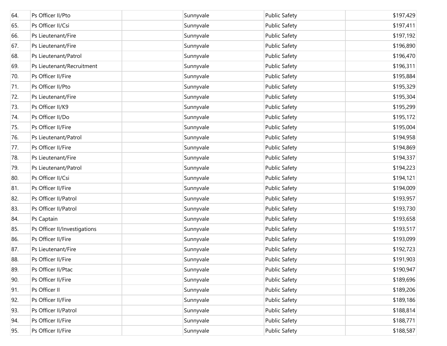| 64. | Ps Officer II/Pto            | Sunnyvale | <b>Public Safety</b> | \$197,429 |
|-----|------------------------------|-----------|----------------------|-----------|
| 65. | Ps Officer II/Csi            | Sunnyvale | <b>Public Safety</b> | \$197,411 |
| 66. | Ps Lieutenant/Fire           | Sunnyvale | <b>Public Safety</b> | \$197,192 |
| 67. | Ps Lieutenant/Fire           | Sunnyvale | <b>Public Safety</b> | \$196,890 |
| 68. | Ps Lieutenant/Patrol         | Sunnyvale | <b>Public Safety</b> | \$196,470 |
| 69. | Ps Lieutenant/Recruitment    | Sunnyvale | <b>Public Safety</b> | \$196,311 |
| 70. | Ps Officer II/Fire           | Sunnyvale | <b>Public Safety</b> | \$195,884 |
| 71. | Ps Officer II/Pto            | Sunnyvale | <b>Public Safety</b> | \$195,329 |
| 72. | Ps Lieutenant/Fire           | Sunnyvale | <b>Public Safety</b> | \$195,304 |
| 73. | Ps Officer II/K9             | Sunnyvale | <b>Public Safety</b> | \$195,299 |
| 74. | Ps Officer II/Do             | Sunnyvale | <b>Public Safety</b> | \$195,172 |
| 75. | Ps Officer II/Fire           | Sunnyvale | <b>Public Safety</b> | \$195,004 |
| 76. | Ps Lieutenant/Patrol         | Sunnyvale | <b>Public Safety</b> | \$194,958 |
| 77. | Ps Officer II/Fire           | Sunnyvale | <b>Public Safety</b> | \$194,869 |
| 78. | Ps Lieutenant/Fire           | Sunnyvale | <b>Public Safety</b> | \$194,337 |
| 79. | Ps Lieutenant/Patrol         | Sunnyvale | <b>Public Safety</b> | \$194,223 |
| 80. | Ps Officer II/Csi            | Sunnyvale | <b>Public Safety</b> | \$194,121 |
| 81. | Ps Officer II/Fire           | Sunnyvale | <b>Public Safety</b> | \$194,009 |
| 82. | Ps Officer II/Patrol         | Sunnyvale | <b>Public Safety</b> | \$193,957 |
| 83. | Ps Officer II/Patrol         | Sunnyvale | <b>Public Safety</b> | \$193,730 |
| 84. | Ps Captain                   | Sunnyvale | <b>Public Safety</b> | \$193,658 |
| 85. | Ps Officer II/Investigations | Sunnyvale | <b>Public Safety</b> | \$193,517 |
| 86. | Ps Officer II/Fire           | Sunnyvale | <b>Public Safety</b> | \$193,099 |
| 87. | Ps Lieutenant/Fire           | Sunnyvale | <b>Public Safety</b> | \$192,723 |
| 88. | Ps Officer II/Fire           | Sunnyvale | <b>Public Safety</b> | \$191,903 |
| 89. | Ps Officer II/Ptac           | Sunnyvale | <b>Public Safety</b> | \$190,947 |
| 90. | Ps Officer II/Fire           | Sunnyvale | <b>Public Safety</b> | \$189,696 |
| 91. | Ps Officer II                | Sunnyvale | <b>Public Safety</b> | \$189,206 |
| 92. | Ps Officer II/Fire           | Sunnyvale | <b>Public Safety</b> | \$189,186 |
| 93. | Ps Officer II/Patrol         | Sunnyvale | <b>Public Safety</b> | \$188,814 |
| 94. | Ps Officer II/Fire           | Sunnyvale | <b>Public Safety</b> | \$188,771 |
| 95. | Ps Officer II/Fire           | Sunnyvale | <b>Public Safety</b> | \$188,587 |